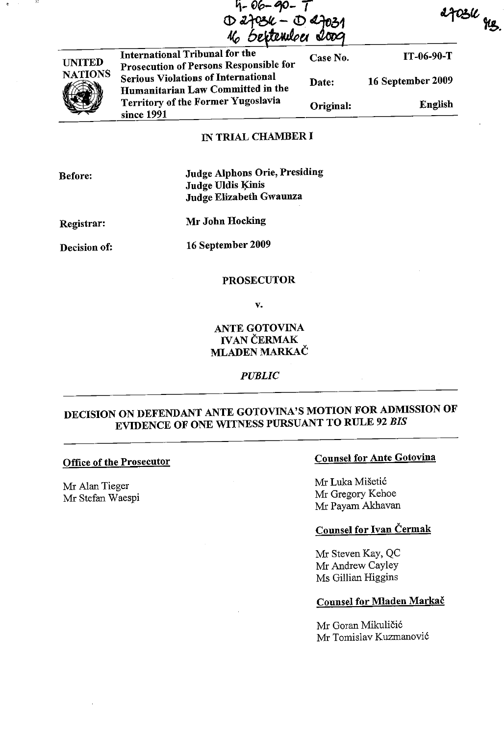$4 - 06 - 90 D$  2703/ $\iota$  -  $D$  2702 **Sextendoei** 

27034 ges.



International Tribunal for the Prosecution of Persons Responsible for Serious Violations of International Humanitarian Law Committed in the Territory of the Former Yugoslavia since 1991 Case No. IT-06-90-T Date: 16 September 2009 Original: English

### IN TRIAL CHAMBER I

Before:

Judge Alphons Orie, Presiding Judge Uldis Kinis Judge Elizabeth Gwaunza

Registrar:

Mr John Hocking

Decision of:

<sup>16</sup>September 2009

#### PROSECUTOR

v.

# ANTE GOTOVINA IVAN ČERMAK MLADEN MARKAČ

#### *PUBLIC*

# DECISION ON DEFENDANT ANTE GOTOVINA'S MOTION FOR ADMISSION OF EVIDENCE OF ONE WITNESS PURSUANT TO RULE 92 *BIS*

#### Office of the Prosecutor

Mr Alan Tieger Mr Stefan Waespi

# Counsel for Ante Gotovina

Mr Luka Mišetić Mr Gregory Kehoe Mr Payam Akhavan

### Counsel for Ivan Čermak

Mr Steven Kay, QC Mr Andrew Cayley Ms Gillian Higgins

#### Counsel for Mladen Markač

Mr Goran Mikuličić Mr Tomislav Kuzmanović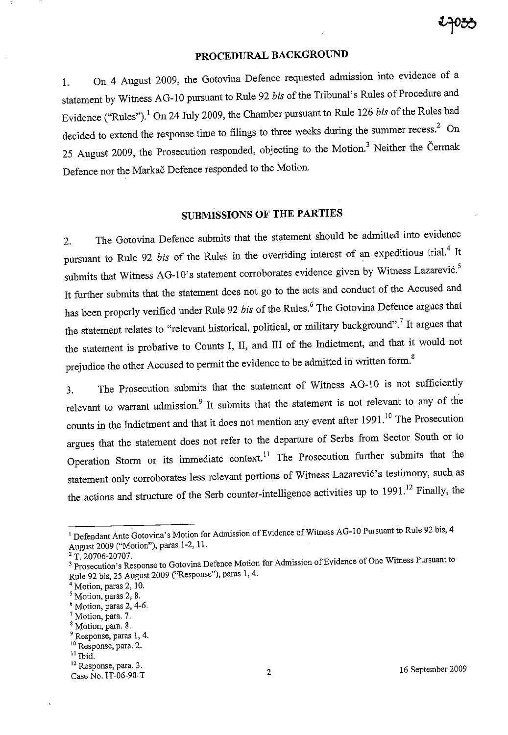# PROCEDURAL BACKGROUND

1. On 4 August 2009, the Gotovina Defence requested admission into evidence of <sup>a</sup> statement by Witness AG-lO pursuant to Rule 92 *bis* of the Tribunal's Rules of Procedure and Evidence ("Rules").<sup>1</sup> On 24 July 2009, the Chamber pursuant to Rule 126 *bis* of the Rules had decided to extend the response time to filings to three weeks during the summer recess.<sup>2</sup> On 25 August 2009, the Prosecution responded, objecting to the Motion.<sup>3</sup> Neither the Čermak Defence nor the Markač Defence responded to the Motion.

# **SUBMISSIONS OF THE PARTIES**

2. The Gotovina Defence submits that the statement should be admitted into evidence pursuant to Rule 92 *bis* of the Rules in the overriding interest of an expeditious trial.<sup>4</sup> It submits that Witness AG-10's statement corroborates evidence given by Witness Lazarević.<sup>5</sup> It further submits that the statement does not go to the acts and conduct of the Accused and has been properly verified under Rule 92 bis of the Rules.<sup>6</sup> The Gotovina Defence argues that the statement relates to "relevant historical, political, or military background".<sup>7</sup> It argues that the statement is probative to Counts I, II, and III of the Indictrnent, and that it would not prejudice the other Accused to permit the evidence to be admitted in written form.<sup>8</sup>

3. The Prosecution submits that the statement of Witness AG-lO is not sufficiently relevant to warrant admission.<sup>9</sup> It submits that the statement is not relevant to any of the counts in the Indictment and that it does not mention any event after 1991.<sup>10</sup> The Prosecution argues that the statement does not refer to the departure of Serbs from Sector South or to Operation Storm or its immediate context.<sup>11</sup> The Prosecution further submits that the statement only corroborates less relevant portions of Witness Lazarević's testimony, such as the actions and structure of the Serb counter-intelligence activities up to  $1991$ .<sup>12</sup> Finally, the

<sup>7</sup> Motion, para. 7.

<sup>&</sup>lt;sup>1</sup> Defendant Ante Gotovina's Motion for Admission of Evidence of Witness AG-10 Pursuant to Rule 92 bis, 4 August 2009 ("Motion"), paras 1-2, ll.

 $2$  T. 20706-20707.

<sup>&</sup>lt;sup>3</sup> Prosecution's Response to Gotovina Defence Motion for Admission of Evidence of One Witness Pursuant to Rule 92 bis, <sup>25</sup>August 2009 ("Response"), paras 1,4.

 $4$  Motion, paras 2, 10.

**<sup>s</sup>Motion, paras 2, 8.** 

 $6$  Motion, paras 2, 4-6.

<sup>&</sup>lt;sup>8</sup> Motion, para. 8.

**<sup>9</sup>Response, paras 1, 4.** 

**<sup>10</sup>Response, para. 2.** 

 $11$  Ibid.

**<sup>12</sup>Response, para. 3.**  Case No. IT-06-90-T 2 16 September 2009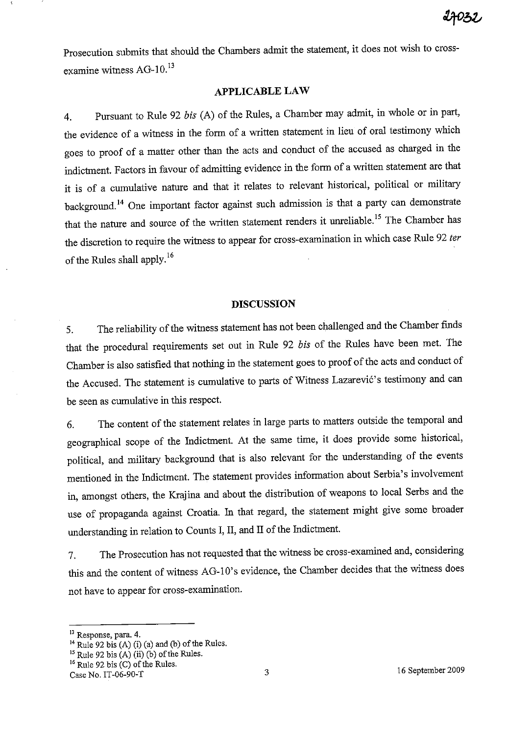Prosecution submits that should the Chambers admit the statement, it does not wish to crossexamine witness AG-10.<sup>13</sup>

### **APPLICABLE LAW**

4. Pursuant to Rule 92 *bis* (A) of the Rules, a Chamber may admit, in whole or in part, the evidence of a witness in the form of a written statement in lieu of oral testimony which goes to proof of a matter other than the acts and conduct of the accused as charged in the indictment. Factors in favour of admitting evidence in the form of a written statement are that it is of a cumulative nature and that it relates to relevant historical, political or military background. 14 One important factor against such admission is that a party can demonstrate that the nature and source of the written statement renders it unreliable.<sup>15</sup> The Chamber has the discretion to require the witness to appear for cross-examination in which case Rule 92 *ter*  of the Rules shall apply.<sup>16</sup>

#### **DISCUSSION**

5. The reliability of the witness statement has not been challenged and the Chamber finds that the procedural requirements set out in Rule 92 *bis* of the Rules have been met. The Chamber is also satisfied that nothing in the statement goes to proof of the acts and conduct of the Accused. The statement is cumulative to parts of Witness Lazarević's testimony and can be seen as cumulative in this respect.

6. The content of the statement relates in large parts to matters outside the temporal and geographical scope of the Indictment. At the same time, it does provide some historical, political, and military background that is also relevant for the understanding of the events mentioned in the Indictment. The statement provides information about Serbia's involvement in, amongst others, the Krajina and about the distribution of weapons to local Serbs and the use of propaganda against Croatia. In that regard, the statement might give some broader understanding in relation to Counts I, II, and II of the Indictment.

7. The Prosecution has not requested that the witness be cross-exaruined and, considering this and the content of witness AG-I0's evidence, the Chamber decides that the witness does not have to appear for cross-examination.

 $16$  Rule 92 bis (C) of the Rules.

**<sup>13</sup> Response, para. 4.** 

 $^{14}$  Rule 92 bis (A) (i) (a) and (b) of the Rules.

 $15$  Rule 92 bis  $(A)$  (ii) (b) of the Rules.

Case No. IT-06-90-T 3<br>Case No. IT-06-90-T 3